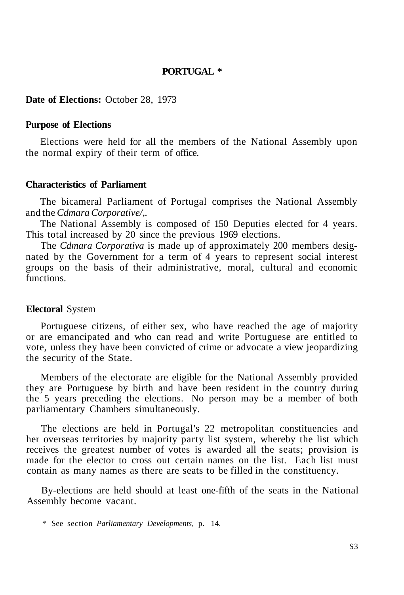# **PORTUGAL \***

### **Date of Elections:** October 28, 1973

#### **Purpose of Elections**

Elections were held for all the members of the National Assembly upon the normal expiry of their term of office.

## **Characteristics of Parliament**

The bicameral Parliament of Portugal comprises the National Assembly and the *Cdmara Corporative/,.* 

The National Assembly is composed of 150 Deputies elected for 4 years. This total increased by 20 since the previous 1969 elections.

The *Cdmara Corporativa* is made up of approximately 200 members designated by the Government for a term of 4 years to represent social interest groups on the basis of their administrative, moral, cultural and economic functions.

#### **Electoral** System

Portuguese citizens, of either sex, who have reached the age of majority or are emancipated and who can read and write Portuguese are entitled to vote, unless they have been convicted of crime or advocate a view jeopardizing the security of the State.

Members of the electorate are eligible for the National Assembly provided they are Portuguese by birth and have been resident in the country during the 5 years preceding the elections. No person may be a member of both parliamentary Chambers simultaneously.

The elections are held in Portugal's 22 metropolitan constituencies and her overseas territories by majority party list system, whereby the list which receives the greatest number of votes is awarded all the seats; provision is made for the elector to cross out certain names on the list. Each list must contain as many names as there are seats to be filled in the constituency.

By-elections are held should at least one-fifth of the seats in the National Assembly become vacant.

<sup>\*</sup> See section *Parliamentary Developments,* p. 14.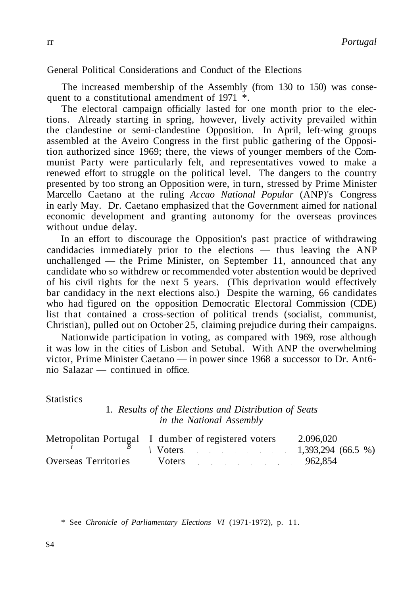General Political Considerations and Conduct of the Elections

The increased membership of the Assembly (from 130 to 150) was consequent to a constitutional amendment of  $1971$   $*$ .

The electoral campaign officially lasted for one month prior to the elections. Already starting in spring, however, lively activity prevailed within the clandestine or semi-clandestine Opposition. In April, left-wing groups assembled at the Aveiro Congress in the first public gathering of the Opposition authorized since 1969; there, the views of younger members of the Communist Party were particularly felt, and representatives vowed to make a renewed effort to struggle on the political level. The dangers to the country presented by too strong an Opposition were, in turn, stressed by Prime Minister Marcello Caetano at the ruling *Accao National Popular* (ANP)'s Congress in early May. Dr. Caetano emphasized that the Government aimed for national economic development and granting autonomy for the overseas provinces without undue delay.

In an effort to discourage the Opposition's past practice of withdrawing candidacies immediately prior to the elections  $-$  thus leaving the ANP unchallenged — the Prime Minister, on September 11, announced that any candidate who so withdrew or recommended voter abstention would be deprived of his civil rights for the next 5 years. (This deprivation would effectively bar candidacy in the next elections also.) Despite the warning, 66 candidates who had figured on the opposition Democratic Electoral Commission (CDE) list that contained a cross-section of political trends (socialist, communist, Christian), pulled out on October 25, claiming prejudice during their campaigns.

Nationwide participation in voting, as compared with 1969, rose although it was low in the cities of Lisbon and Setubal. With ANP the overwhelming victor, Prime Minister Caetano — in power since 1968 a successor to Dr. Ant6 nio Salazar — continued in office.

**Statistics** 

# 1. *Results of the Elections and Distribution of Seats in the National Assembly*

|                      | Metropolitan Portugal I dumber of registered voters | 2.096.020 |
|----------------------|-----------------------------------------------------|-----------|
|                      | $1,393,294$ (66.5 %)                                |           |
| Overseas Territories | $Voters$ 962,854                                    |           |

\* See *Chronicle of Parliamentary Elections VI* (1971-1972), p. 11.